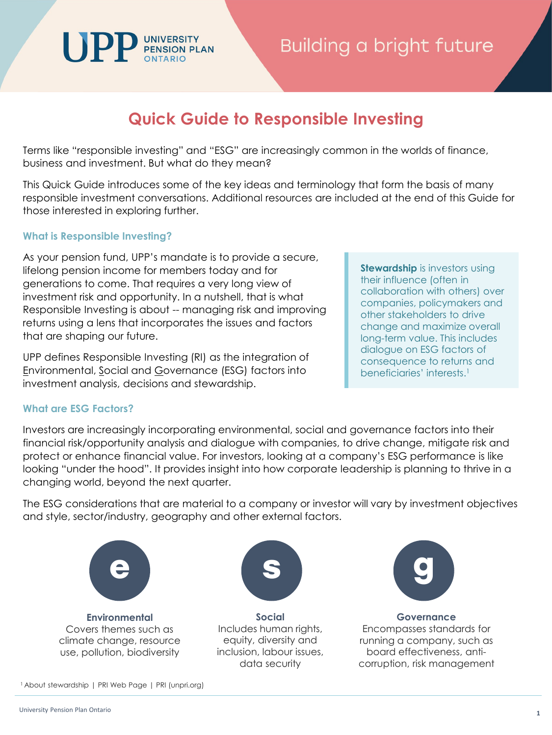# Building a bright future

## **Quick Guide to Responsible Investing**

Terms like "responsible investing" and "ESG" are increasingly common in the worlds of finance, business and investment. But what do they mean?

This Quick Guide introduces some of the key ideas and terminology that form the basis of many responsible investment conversations. Additional resources are included at the end of this Guide for those interested in exploring further.

### **What is Responsible Investing?**

As your pension fund, UPP's mandate is to provide a secure, lifelong pension income for members today and for generations to come. That requires a very long view of investment risk and opportunity. In a nutshell, that is what Responsible Investing is about -- managing risk and improving returns using a lens that incorporates the issues and factors that are shaping our future.

UNIVERSITY<br>PENSION PLAN

UPP defines Responsible Investing (RI) as the integration of Environmental, Social and Governance (ESG) factors into investment analysis, decisions and stewardship.

## **What are ESG Factors?**

Investors are increasingly incorporating environmental, social and governance factors into their financial risk/opportunity analysis and dialogue with companies, to drive change, mitigate risk and protect or enhance financial value. For investors, looking at a company's ESG performance is like looking "under the hood". It provides insight into how corporate leadership is planning to thrive in a changing world, beyond the next quarter.

The ESG considerations that are material to a company or investor will vary by investment objectives and style, sector/industry, geography and other external factors.



**Environmental** Covers themes such as climate change, resource use, pollution, biodiversity

1 About stewardship | PRI Web Page | PRI (unpri.org)



**Social**  Includes human rights, equity, diversity and inclusion, labour issues, data security



**Governance** Encompasses standards for running a company, such as board effectiveness, anticorruption, risk management

**Stewardship** is investors using their influence (often in collaboration with others) over companies, policymakers and other stakeholders to drive change and maximize overall long-term value. This includes dialogue on ESG factors of consequence to returns and beneficiaries' interests.1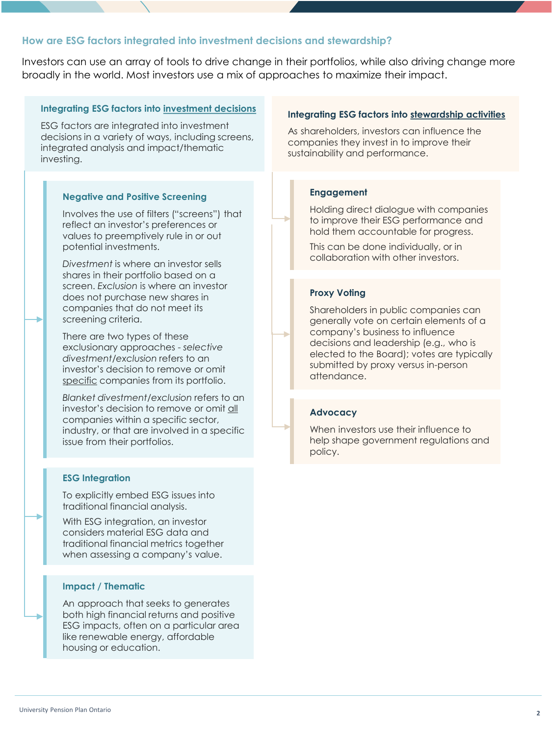#### **How are ESG factors integrated into investment decisions and stewardship?**

Investors can use an array of tools to drive change in their portfolios, while also driving change more broadly in the world. Most investors use a mix of approaches to maximize their impact.

#### **Integrating ESG factors into investment decisions**

ESG factors are integrated into investment decisions in a variety of ways, including screens, integrated analysis and impact/thematic investing.

#### **Negative and Positive Screening**

Involves the use of filters ("screens") that reflect an investor's preferences or values to preemptively rule in or out potential investments.

*Divestment* is where an investor sells shares in their portfolio based on a screen. *Exclusion* is where an investor does not purchase new shares in companies that do not meet its screening criteria.

There are two types of these exclusionary approaches - *selective divestment/exclusion* refers to an investor's decision to remove or omit specific companies from its portfolio.

*Blanket divestment/exclusion* refers to an investor's decision to remove or omit all companies within a specific sector, industry, or that are involved in a specific issue from their portfolios.

#### **ESG Integration**

To explicitly embed ESG issues into traditional financial analysis.

With ESG integration, an investor considers material ESG data and traditional financial metrics together when assessing a company's value.

#### **Impact / Thematic**

An approach that seeks to generates both high financial returns and positive ESG impacts, often on a particular area like renewable energy, affordable housing or education.

#### **Integrating ESG factors into stewardship activities**

As shareholders, investors can influence the companies they invest in to improve their sustainability and performance.

#### **Engagement**

Holding direct dialogue with companies to improve their ESG performance and hold them accountable for progress.

This can be done individually, or in collaboration with other investors.

#### **Proxy Voting**

Shareholders in public companies can generally vote on certain elements of a company's business to influence decisions and leadership (e.g., who is elected to the Board); votes are typically submitted by proxy versus in-person attendance.

#### **Advocacy**

When investors use their influence to help shape government regulations and policy.